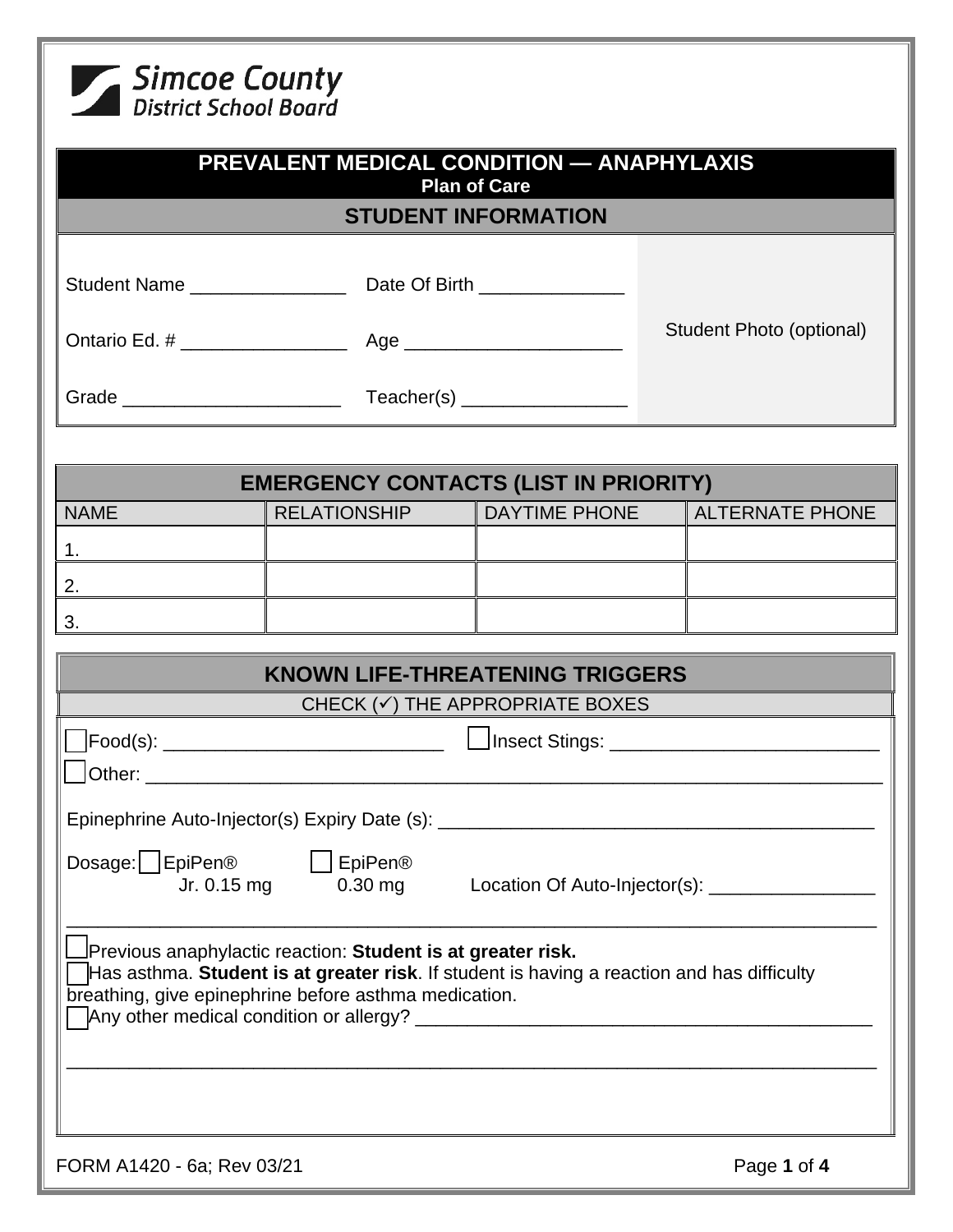

| <b>PREVALENT MEDICAL CONDITION — ANAPHYLAXIS</b><br><b>Plan of Care</b><br><b>STUDENT INFORMATION</b>          |                                                                                                                                                                                                                    |  |                                 |  |
|----------------------------------------------------------------------------------------------------------------|--------------------------------------------------------------------------------------------------------------------------------------------------------------------------------------------------------------------|--|---------------------------------|--|
|                                                                                                                |                                                                                                                                                                                                                    |  |                                 |  |
|                                                                                                                |                                                                                                                                                                                                                    |  | Student Photo (optional)        |  |
|                                                                                                                |                                                                                                                                                                                                                    |  |                                 |  |
|                                                                                                                | <b>EMERGENCY CONTACTS (LIST IN PRIORITY)</b>                                                                                                                                                                       |  |                                 |  |
| <b>NAME</b>                                                                                                    | <b>RELATIONSHIP</b>                                                                                                                                                                                                |  | DAYTIME PHONE   ALTERNATE PHONE |  |
| 1.                                                                                                             |                                                                                                                                                                                                                    |  |                                 |  |
| <u>2.</u>                                                                                                      |                                                                                                                                                                                                                    |  |                                 |  |
| 3.                                                                                                             |                                                                                                                                                                                                                    |  |                                 |  |
|                                                                                                                | <b>KNOWN LIFE-THREATENING TRIGGERS</b>                                                                                                                                                                             |  |                                 |  |
| CHECK $(\checkmark)$ THE APPROPRIATE BOXES                                                                     |                                                                                                                                                                                                                    |  |                                 |  |
|                                                                                                                |                                                                                                                                                                                                                    |  |                                 |  |
|                                                                                                                | Epinephrine Auto-Injector(s) Expiry Date (s): ________                                                                                                                                                             |  |                                 |  |
| Dosage:   EpiPen®<br><b>EpiPen®</b><br>Jr. 0.15 mg<br>$0.30$ mg<br>Location Of Auto-Injector(s): _____________ |                                                                                                                                                                                                                    |  |                                 |  |
|                                                                                                                | Previous anaphylactic reaction: Student is at greater risk.<br>Has asthma. Student is at greater risk. If student is having a reaction and has difficulty<br>breathing, give epinephrine before asthma medication. |  |                                 |  |
| FORM A1420 - 6a; Rev 03/21                                                                                     |                                                                                                                                                                                                                    |  | Page 1 of 4                     |  |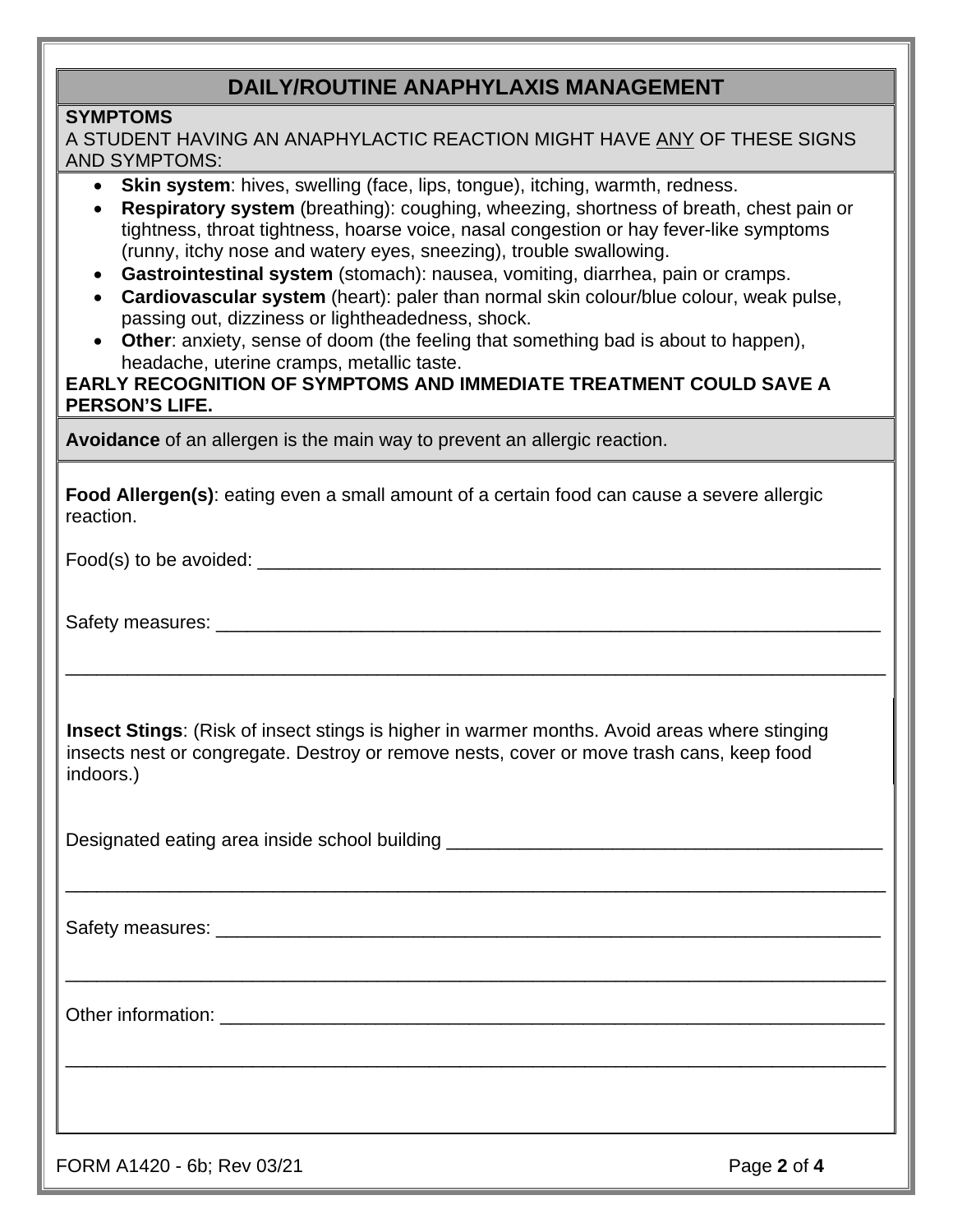## **DAILY/ROUTINE ANAPHYLAXIS MANAGEMENT**

#### **SYMPTOMS**

| A STUDENT HAVING AN ANAPHYLACTIC REACTION MIGHT HAVE ANY OF THESE SIGNS |  |
|-------------------------------------------------------------------------|--|
| <b>AND SYMPTOMS:</b>                                                    |  |

- **Skin system**: hives, swelling (face, lips, tongue), itching, warmth, redness.
- **Respiratory system** (breathing): coughing, wheezing, shortness of breath, chest pain or tightness, throat tightness, hoarse voice, nasal congestion or hay fever-like symptoms (runny, itchy nose and watery eyes, sneezing), trouble swallowing.
- **Gastrointestinal system** (stomach): nausea, vomiting, diarrhea, pain or cramps.
- **Cardiovascular system** (heart): paler than normal skin colour/blue colour, weak pulse, passing out, dizziness or lightheadedness, shock.
- **Other**: anxiety, sense of doom (the feeling that something bad is about to happen), headache, uterine cramps, metallic taste.

### **EARLY RECOGNITION OF SYMPTOMS AND IMMEDIATE TREATMENT COULD SAVE A PERSON'S LIFE.**

**Avoidance** of an allergen is the main way to prevent an allergic reaction.

**Food Allergen(s)**: eating even a small amount of a certain food can cause a severe allergic reaction.

Food(s) to be avoided: \_\_\_\_\_\_\_\_\_\_\_\_\_\_\_\_\_\_\_\_\_\_\_\_\_\_\_\_\_\_\_\_\_\_\_\_\_\_\_\_\_\_\_\_\_\_\_\_\_\_\_\_\_\_\_\_\_\_\_\_

Safety measures:  $\Box$ 

**Insect Stings**: (Risk of insect stings is higher in warmer months. Avoid areas where stinging insects nest or congregate. Destroy or remove nests, cover or move trash cans, keep food indoors.)

\_\_\_\_\_\_\_\_\_\_\_\_\_\_\_\_\_\_\_\_\_\_\_\_\_\_\_\_\_\_\_\_\_\_\_\_\_\_\_\_\_\_\_\_\_\_\_\_\_\_\_\_\_\_\_\_\_\_\_\_\_\_\_\_\_\_\_\_\_\_\_\_\_\_\_\_\_\_\_

\_\_\_\_\_\_\_\_\_\_\_\_\_\_\_\_\_\_\_\_\_\_\_\_\_\_\_\_\_\_\_\_\_\_\_\_\_\_\_\_\_\_\_\_\_\_\_\_\_\_\_\_\_\_\_\_\_\_\_\_\_\_\_\_\_\_\_\_\_\_\_\_\_\_\_\_\_\_\_

\_\_\_\_\_\_\_\_\_\_\_\_\_\_\_\_\_\_\_\_\_\_\_\_\_\_\_\_\_\_\_\_\_\_\_\_\_\_\_\_\_\_\_\_\_\_\_\_\_\_\_\_\_\_\_\_\_\_\_\_\_\_\_\_\_\_\_\_\_\_\_\_\_\_\_\_\_\_\_

\_\_\_\_\_\_\_\_\_\_\_\_\_\_\_\_\_\_\_\_\_\_\_\_\_\_\_\_\_\_\_\_\_\_\_\_\_\_\_\_\_\_\_\_\_\_\_\_\_\_\_\_\_\_\_\_\_\_\_\_\_\_\_\_\_\_\_\_\_\_\_\_\_\_\_\_\_\_\_

Designated eating area inside school building \_\_\_\_\_\_\_\_\_\_\_\_\_\_\_\_\_\_\_\_\_\_\_\_\_\_\_\_\_\_\_\_\_\_

Safety measures: \_\_\_\_\_\_\_\_\_\_\_\_\_\_\_\_\_\_\_\_\_\_\_\_\_\_\_\_\_\_\_\_\_\_\_\_\_\_\_\_\_\_\_\_\_\_\_\_\_\_\_\_\_\_\_\_\_\_\_\_\_\_\_\_

Other information: \_\_\_\_\_\_\_\_\_\_\_\_\_\_\_\_\_\_\_\_\_\_\_\_\_\_\_\_\_\_\_\_\_\_\_\_\_\_\_\_\_\_\_\_\_\_\_\_\_\_\_\_\_\_\_\_\_\_\_\_\_\_\_\_

FORM A1420 - 6b; Rev 03/21 **Page 2** of 4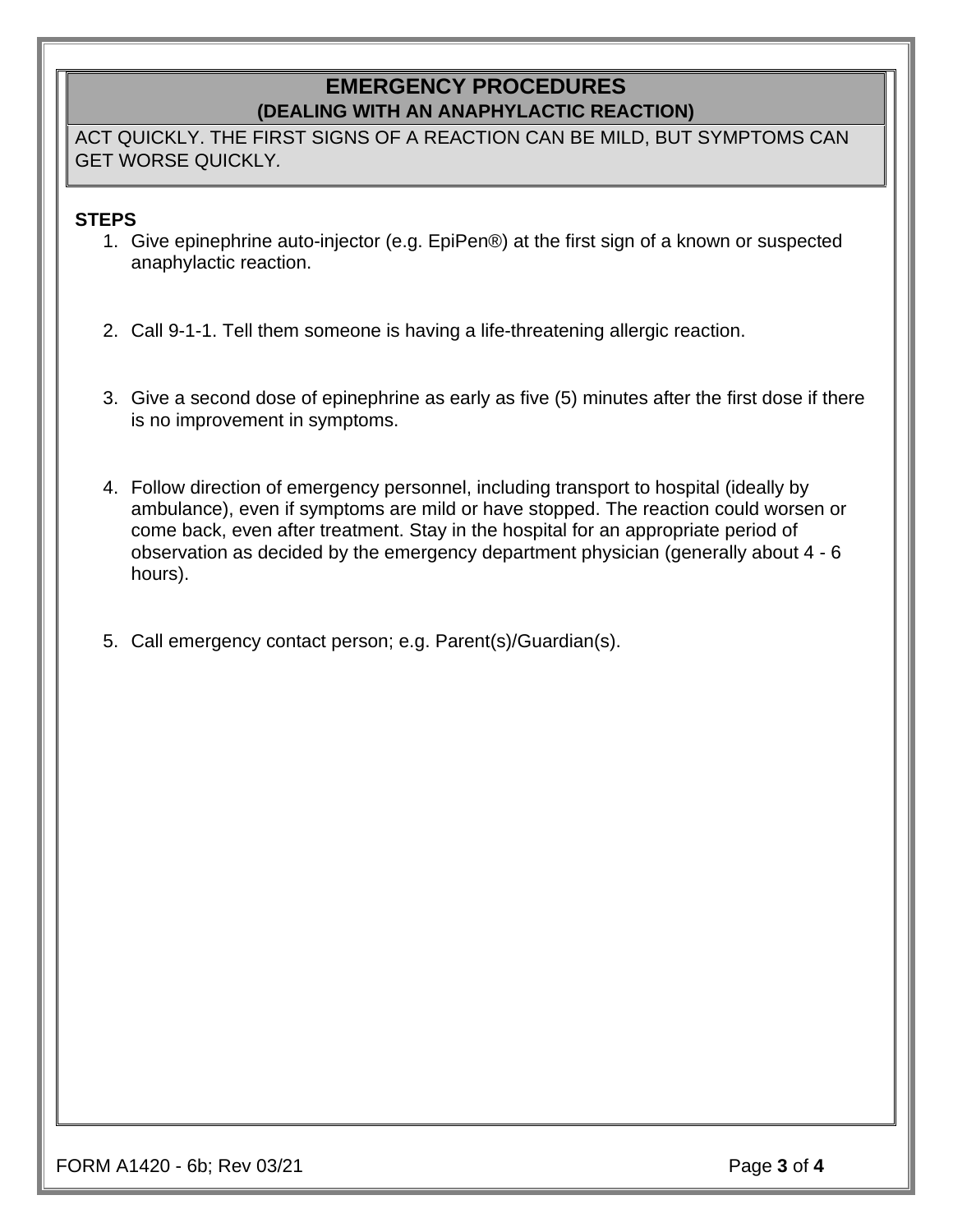# **EMERGENCY PROCEDURES (DEALING WITH AN ANAPHYLACTIC REACTION)**

ACT QUICKLY. THE FIRST SIGNS OF A REACTION CAN BE MILD, BUT SYMPTOMS CAN GET WORSE QUICKLY*.*

### **STEPS**

- 1. Give epinephrine auto-injector (e.g. EpiPen®) at the first sign of a known or suspected anaphylactic reaction.
- 2. Call 9-1-1. Tell them someone is having a life-threatening allergic reaction.
- 3. Give a second dose of epinephrine as early as five (5) minutes after the first dose if there is no improvement in symptoms.
- 4. Follow direction of emergency personnel, including transport to hospital (ideally by ambulance), even if symptoms are mild or have stopped. The reaction could worsen or come back, even after treatment. Stay in the hospital for an appropriate period of observation as decided by the emergency department physician (generally about 4 - 6 hours).
- 5. Call emergency contact person; e.g. Parent(s)/Guardian(s).